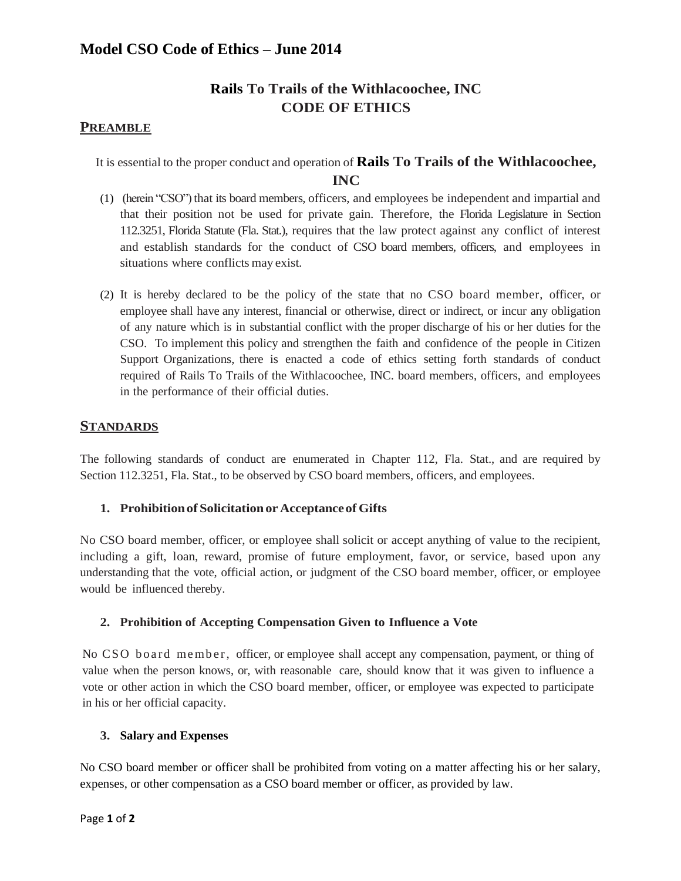# **Rails To Trails of the Withlacoochee, INC CODE OF ETHICS**

## **PREAMBLE**

It is essential to the proper conduct and operation of **Rails To Trails of the Withlacoochee, INC**

- (1) (herein "CSO") that its board members, officers, and employees be independent and impartial and that their position not be used for private gain. Therefore, the Florida Legislature in Section 112.3251, Florida Statute (Fla. Stat.), requires that the law protect against any conflict of interest and establish standards for the conduct of CSO board members, officers, and employees in situations where conflicts may exist.
- (2) It is hereby declared to be the policy of the state that no CSO board member, officer, or employee shall have any interest, financial or otherwise, direct or indirect, or incur any obligation of any nature which is in substantial conflict with the proper discharge of his or her duties for the CSO. To implement this policy and strengthen the faith and confidence of the people in Citizen Support Organizations, there is enacted a code of ethics setting forth standards of conduct required of Rails To Trails of the Withlacoochee, INC. board members, officers, and employees in the performance of their official duties.

## **STANDARDS**

The following standards of conduct are enumerated in Chapter 112, Fla. Stat., and are required by Section 112.3251, Fla. Stat., to be observed by CSO board members, officers, and employees.

### **1. Prohibitionof Solicitationor AcceptanceofGifts**

No CSO board member, officer, or employee shall solicit or accept anything of value to the recipient, including a gift, loan, reward, promise of future employment, favor, or service, based upon any understanding that the vote, official action, or judgment of the CSO board member, officer, or employee would be influenced thereby.

#### **2. Prohibition of Accepting Compensation Given to Influence a Vote**

No CSO board member, officer, or employee shall accept any compensation, payment, or thing of value when the person knows, or, with reasonable care, should know that it was given to influence a vote or other action in which the CSO board member, officer, or employee was expected to participate in his or her official capacity.

#### **3. Salary and Expenses**

No CSO board member or officer shall be prohibited from voting on a matter affecting his or her salary, expenses, or other compensation as a CSO board member or officer, as provided by law.